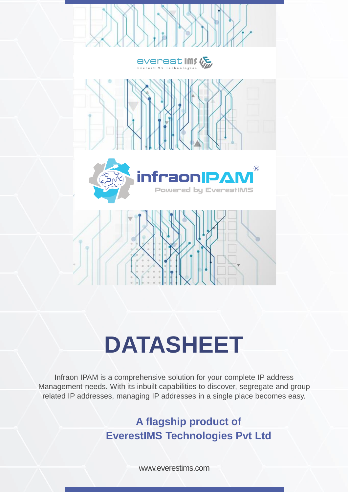

# **DATASHEET**

Infraon IPAM is a comprehensive solution for your complete IP address Management needs. With its inbuilt capabilities to discover, segregate and group related IP addresses, managing IP addresses in a single place becomes easy.

> **A flagship product of EverestIMS Technologies Pvt Ltd**

> > www.everestims.com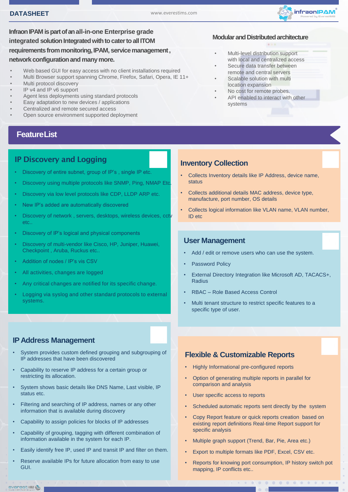

**Infraon IPAM is part of an all-in-one Enterprise grade**  integrated solution Integrated with to cater to all ITOM **requirements from monitoring, IPAM, service management , network configuration and many more.**

- Web based GUI for easy access with no client installations required
- Multi Browser support spanning Chrome, Firefox, Safari, Opera, IE 11+
- Multi protocol discovery
- IP v4 and IP v6 support
- Agent less deployments using standard protocols
- Easy adaptation to new devices / applications
- Centralized and remote secured access
- Open source environment supported deployment

# **FeatureList**

## IP Discovery and Logging

- Discovery of entire subnet, group of IP's , single IP etc.
- Discovery using multiple protocols like SNMP, Ping, NMAP Etc.
- Discovery via low level protocols like CDP, LLDP ARP etc.
- New IP's added are automatically discovered
- Discovery of network , servers, desktops, wireless devices, cctv etc..
- Discovery of IP's logical and physical components
- Discovery of multi-vendor like Cisco, HP, Juniper, Huawei, Checkpoint , Aruba, Ruckus etc..
- Addition of nodes / IP's vis CSV
- All activities, changes are logged
- Any critical changes are notified for its specific change.
- Logging via syslog and other standard protocols to external systems.

## **IP Address Management**

- System provides custom defined grouping and subgrouping of IP addresses that have been discovered
- Capability to reserve IP address for a certain group or restricting its allocation.
- System shows basic details like DNS Name, Last visible, IP status etc.
- Filtering and searching of IP address, names or any other information that is available during discovery
- Capability to assign policies for blocks of IP addresses
- Capability of grouping, tagging with different combination of information available in the system for each IP.
- Easily identify free IP, used IP and transit IP and filter on them.
- Reserve available IPs for future allocation from easy to use GUI.

#### **Modular and Distributed architecture**

- Multi-level distribution support with local and centralized access
- Secure data transfer between remote and central servers
- Scalable solution with multi location expansion
- No cost for remote probes.
- API enabled to interact with other systems

## **Inventory Collection**

- Collects Inventory details like IP Address, device name, status
- Collects additional details MAC address, device type, manufacture, port number, OS details
- Collects logical information like VLAN name, VLAN number, ID etc

### **User Management**

- Add / edit or remove users who can use the system.
- Password Policy
- External Directory Integration like Microsoft AD, TACACS+, **Radius**
- RBAC Role Based Access Control
- Multi tenant structure to restrict specific features to a specific type of user.

#### **Flexible & Customizable Reports**

- Highly Informational pre-configured reports
- Option of generating multiple reports in parallel for comparison and analysis
- User specific access to reports
- Scheduled automatic reports sent directly by the system
- Copy Report feature or quick reports creation based on existing report definitions Real-time Report support for specific analysis
- Multiple graph support (Trend, Bar, Pie, Area etc.)
- Export to multiple formats like PDF, Excel, CSV etc.
- Reports for knowing port consumption, IP history switch pot mapping, IP conflicts etc..